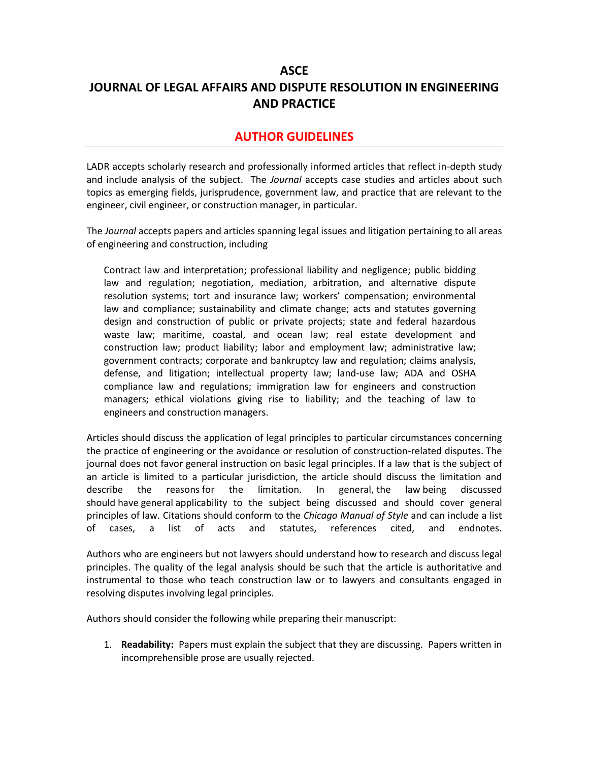## **ASCE JOURNAL OF LEGAL AFFAIRS AND DISPUTE RESOLUTION IN ENGINEERING AND PRACTICE**

## **AUTHOR GUIDELINES**

LADR accepts scholarly research and professionally informed articles that reflect in-depth study and include analysis of the subject. The *Journal* accepts case studies and articles about such topics as emerging fields, jurisprudence, government law, and practice that are relevant to the engineer, civil engineer, or construction manager, in particular.

The *Journal* accepts papers and articles spanning legal issues and litigation pertaining to all areas of engineering and construction, including

Contract law and interpretation; professional liability and negligence; public bidding law and regulation; negotiation, mediation, arbitration, and alternative dispute resolution systems; tort and insurance law; workers' compensation; environmental law and compliance; sustainability and climate change; acts and statutes governing design and construction of public or private projects; state and federal hazardous waste law; maritime, coastal, and ocean law; real estate development and construction law; product liability; labor and employment law; administrative law; government contracts; corporate and bankruptcy law and regulation; claims analysis, defense, and litigation; intellectual property law; land-use law; ADA and OSHA compliance law and regulations; immigration law for engineers and construction managers; ethical violations giving rise to liability; and the teaching of law to engineers and construction managers.

Articles should discuss the application of legal principles to particular circumstances concerning the practice of engineering or the avoidance or resolution of construction-related disputes. The journal does not favor general instruction on basic legal principles. If a law that is the subject of an article is limited to a particular jurisdiction, the article should discuss the limitation and describe the reasons for the limitation. In general, the law being discussed should have general applicability to the subject being discussed and should cover general principles of law. Citations should conform to the *Chicago Manual of Style* and can include a list of cases, a list of acts and statutes, references cited, and endnotes.

Authors who are engineers but not lawyers should understand how to research and discuss legal principles. The quality of the legal analysis should be such that the article is authoritative and instrumental to those who teach construction law or to lawyers and consultants engaged in resolving disputes involving legal principles.

Authors should consider the following while preparing their manuscript:

1. **Readability:** Papers must explain the subject that they are discussing. Papers written in incomprehensible prose are usually rejected.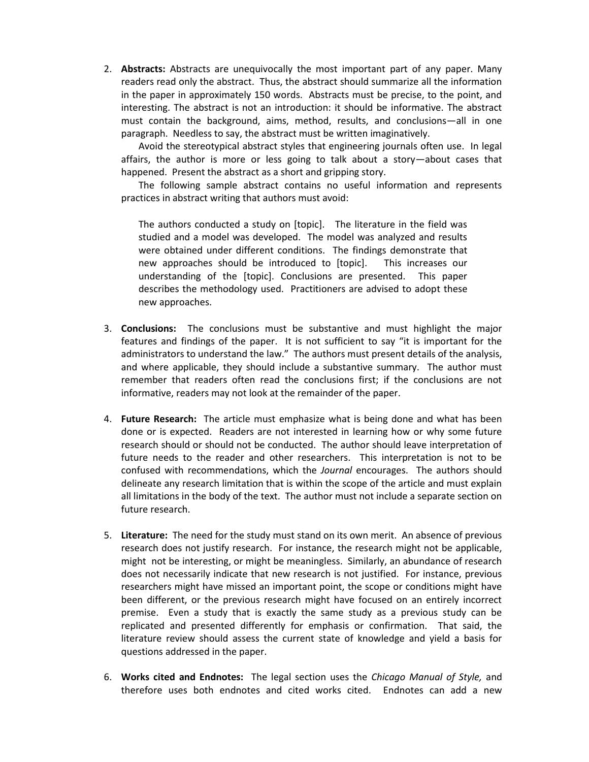2. **Abstracts:** Abstracts are unequivocally the most important part of any paper. Many readers read only the abstract. Thus, the abstract should summarize all the information in the paper in approximately 150 words. Abstracts must be precise, to the point, and interesting. The abstract is not an introduction: it should be informative. The abstract must contain the background, aims, method, results, and conclusions—all in one paragraph. Needless to say, the abstract must be written imaginatively.

Avoid the stereotypical abstract styles that engineering journals often use. In legal affairs, the author is more or less going to talk about a story—about cases that happened. Present the abstract as a short and gripping story.

The following sample abstract contains no useful information and represents practices in abstract writing that authors must avoid:

The authors conducted a study on [topic]. The literature in the field was studied and a model was developed. The model was analyzed and results were obtained under different conditions. The findings demonstrate that new approaches should be introduced to [topic]. This increases our understanding of the [topic]. Conclusions are presented. This paper describes the methodology used. Practitioners are advised to adopt these new approaches.

- 3. **Conclusions:** The conclusions must be substantive and must highlight the major features and findings of the paper. It is not sufficient to say "it is important for the administrators to understand the law." The authors must present details of the analysis, and where applicable, they should include a substantive summary. The author must remember that readers often read the conclusions first; if the conclusions are not informative, readers may not look at the remainder of the paper.
- 4. **Future Research:** The article must emphasize what is being done and what has been done or is expected. Readers are not interested in learning how or why some future research should or should not be conducted. The author should leave interpretation of future needs to the reader and other researchers. This interpretation is not to be confused with recommendations, which the *Journal* encourages. The authors should delineate any research limitation that is within the scope of the article and must explain all limitations in the body of the text. The author must not include a separate section on future research.
- 5. **Literature:** The need for the study must stand on its own merit. An absence of previous research does not justify research. For instance, the research might not be applicable, might not be interesting, or might be meaningless. Similarly, an abundance of research does not necessarily indicate that new research is not justified. For instance, previous researchers might have missed an important point, the scope or conditions might have been different, or the previous research might have focused on an entirely incorrect premise. Even a study that is exactly the same study as a previous study can be replicated and presented differently for emphasis or confirmation. That said, the literature review should assess the current state of knowledge and yield a basis for questions addressed in the paper.
- 6. **Works cited and Endnotes:** The legal section uses the *Chicago Manual of Style,* and therefore uses both endnotes and cited works cited. Endnotes can add a new